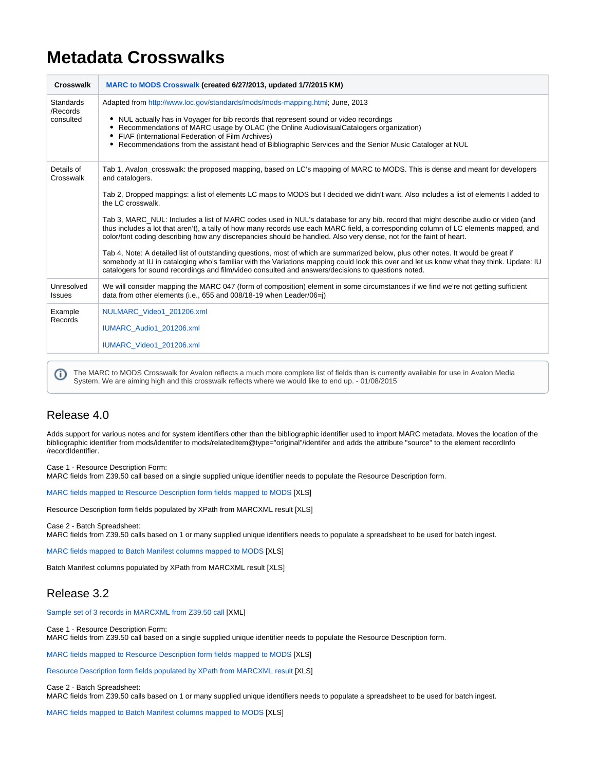## **Metadata Crosswalks**

| <b>Crosswalk</b>                   | MARC to MODS Crosswalk (created 6/27/2013, updated 1/7/2015 KM)                                                                                                                                                                                                                                                                                                                                                                          |
|------------------------------------|------------------------------------------------------------------------------------------------------------------------------------------------------------------------------------------------------------------------------------------------------------------------------------------------------------------------------------------------------------------------------------------------------------------------------------------|
| Standards<br>/Records<br>consulted | Adapted from http://www.loc.gov/standards/mods/mods-mapping.html; June, 2013<br>NUL actually has in Voyager for bib records that represent sound or video recordings<br>٠<br>Recommendations of MARC usage by OLAC (the Online AudiovisualCatalogers organization)<br>FIAF (International Federation of Film Archives)<br>٠<br>• Recommendations from the assistant head of Bibliographic Services and the Senior Music Cataloger at NUL |
| Details of<br>Crosswalk            | Tab 1, Avalon_crosswalk: the proposed mapping, based on LC's mapping of MARC to MODS. This is dense and meant for developers<br>and catalogers.                                                                                                                                                                                                                                                                                          |
|                                    | Tab 2, Dropped mappings: a list of elements LC maps to MODS but I decided we didn't want. Also includes a list of elements I added to<br>the LC crosswalk.                                                                                                                                                                                                                                                                               |
|                                    | Tab 3, MARC_NUL: Includes a list of MARC codes used in NUL's database for any bib. record that might describe audio or video (and<br>thus includes a lot that aren't), a tally of how many records use each MARC field, a corresponding column of LC elements mapped, and<br>color/font coding describing how any discrepancies should be handled. Also very dense, not for the faint of heart.                                          |
|                                    | Tab 4, Note: A detailed list of outstanding questions, most of which are summarized below, plus other notes. It would be great if<br>somebody at IU in cataloging who's familiar with the Variations mapping could look this over and let us know what they think. Update: IU<br>catalogers for sound recordings and film/video consulted and answers/decisions to questions noted.                                                      |
| Unresolved<br><b>Issues</b>        | We will consider mapping the MARC 047 (form of composition) element in some circumstances if we find we're not getting sufficient<br>data from other elements (i.e., 655 and 008/18-19 when Leader/06=i)                                                                                                                                                                                                                                 |
| Example<br>Records                 | NULMARC Video1 201206.xml                                                                                                                                                                                                                                                                                                                                                                                                                |
|                                    | IUMARC Audio1 201206.xml                                                                                                                                                                                                                                                                                                                                                                                                                 |
|                                    | IUMARC Video1 201206.xml                                                                                                                                                                                                                                                                                                                                                                                                                 |

The MARC to MODS Crosswalk for Avalon reflects a much more complete list of fields than is currently available for use in Avalon Media ➀ System. We are aiming high and this crosswalk reflects where we would like to end up. - 01/08/2015

## Release 4.0

Adds support for various notes and for system identifiers other than the bibliographic identifier used to import MARC metadata. Moves the location of the bibliographic identifier from mods/identifer to mods/relatedItem@type="original"/identifer and adds the attribute "source" to the element recordInfo /recordIdentifier.

Case 1 - Resource Description Form:

MARC fields from Z39.50 call based on a single supplied unique identifier needs to populate the Resource Description form.

[MARC fields mapped to Resource Description form fields mapped to MODS](https://wiki.dlib.indiana.edu/download/attachments/515279992/MARCtoResourceDescriptionFormToMODS_4.0.xlsx?version=1&modificationDate=1430410539000&api=v2) [XLS]

Resource Description form fields populated by XPath from MARCXML result [XLS]

Case 2 - Batch Spreadsheet:

MARC fields from Z39.50 calls based on 1 or many supplied unique identifiers needs to populate a spreadsheet to be used for batch ingest.

[MARC fields mapped to Batch Manifest columns mapped to MODS](https://wiki.dlib.indiana.edu/download/attachments/515279992/MARCtoBatchManifestToMODS4.0.xlsx?version=1&modificationDate=1430411508000&api=v2) [XLS]

Batch Manifest columns populated by XPath from MARCXML result [XLS]

## Release 3.2

[Sample set of 3 records in MARCXML from Z39.50 call](https://wiki.dlib.indiana.edu/download/attachments/515279992/iucatextract_3records_MARCXML.xml?version=1&modificationDate=1415035575000&api=v2) [XML]

Case 1 - Resource Description Form: MARC fields from Z39.50 call based on a single supplied unique identifier needs to populate the Resource Description form.

[MARC fields mapped to Resource Description form fields mapped to MODS](https://wiki.dlib.indiana.edu/download/attachments/515279992/MARCtoResourceDescriptionFormToMODS.xlsx?version=10&modificationDate=1424263007000&api=v2) [XLS]

[Resource Description form fields populated by XPath from MARCXML result](https://wiki.dlib.indiana.edu/download/attachments/515279992/ResourceDescriptionForm_to_MARCXML.xlsx?version=10&modificationDate=1424265367000&api=v2) [XLS]

Case 2 - Batch Spreadsheet:

MARC fields from Z39.50 calls based on 1 or many supplied unique identifiers needs to populate a spreadsheet to be used for batch ingest.

[MARC fields mapped to Batch Manifest columns mapped to MODS](https://wiki.dlib.indiana.edu/download/attachments/515279992/MARCtoBatchManifestToMODS.xlsx?version=8&modificationDate=1424263650000&api=v2) [XLS]